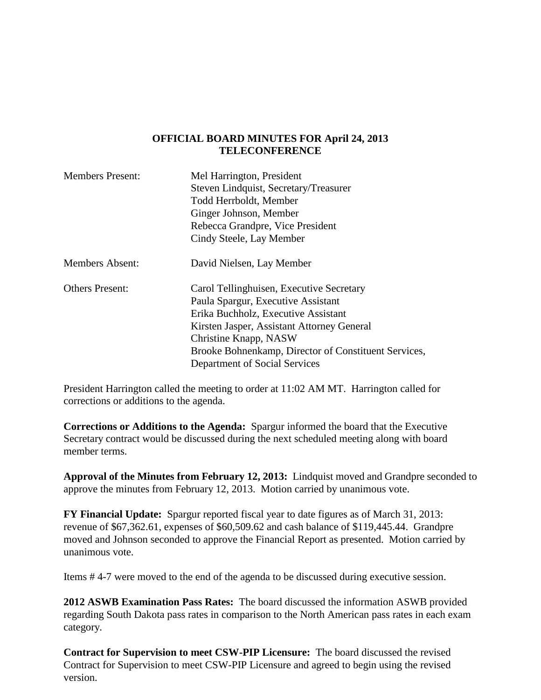#### **OFFICIAL BOARD MINUTES FOR April 24, 2013 TELECONFERENCE**

| <b>Members Present:</b> | Mel Harrington, President                            |
|-------------------------|------------------------------------------------------|
|                         | Steven Lindquist, Secretary/Treasurer                |
|                         | Todd Herrboldt, Member                               |
|                         | Ginger Johnson, Member                               |
|                         | Rebecca Grandpre, Vice President                     |
|                         | Cindy Steele, Lay Member                             |
| <b>Members Absent:</b>  | David Nielsen, Lay Member                            |
| <b>Others Present:</b>  | Carol Tellinghuisen, Executive Secretary             |
|                         | Paula Spargur, Executive Assistant                   |
|                         | Erika Buchholz, Executive Assistant                  |
|                         | Kirsten Jasper, Assistant Attorney General           |
|                         | Christine Knapp, NASW                                |
|                         | Brooke Bohnenkamp, Director of Constituent Services, |
|                         | Department of Social Services                        |

President Harrington called the meeting to order at 11:02 AM MT. Harrington called for corrections or additions to the agenda.

**Corrections or Additions to the Agenda:** Spargur informed the board that the Executive Secretary contract would be discussed during the next scheduled meeting along with board member terms.

**Approval of the Minutes from February 12, 2013:** Lindquist moved and Grandpre seconded to approve the minutes from February 12, 2013. Motion carried by unanimous vote.

**FY Financial Update:** Spargur reported fiscal year to date figures as of March 31, 2013: revenue of \$67,362.61, expenses of \$60,509.62 and cash balance of \$119,445.44. Grandpre moved and Johnson seconded to approve the Financial Report as presented. Motion carried by unanimous vote.

Items # 4-7 were moved to the end of the agenda to be discussed during executive session.

**2012 ASWB Examination Pass Rates:** The board discussed the information ASWB provided regarding South Dakota pass rates in comparison to the North American pass rates in each exam category.

**Contract for Supervision to meet CSW-PIP Licensure:** The board discussed the revised Contract for Supervision to meet CSW-PIP Licensure and agreed to begin using the revised version.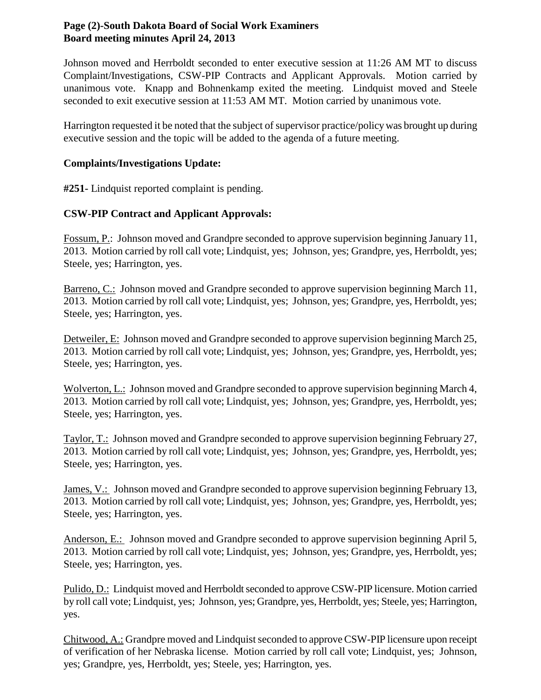# **Page (2)-South Dakota Board of Social Work Examiners Board meeting minutes April 24, 2013**

Johnson moved and Herrboldt seconded to enter executive session at 11:26 AM MT to discuss Complaint/Investigations, CSW-PIP Contracts and Applicant Approvals. Motion carried by unanimous vote. Knapp and Bohnenkamp exited the meeting. Lindquist moved and Steele seconded to exit executive session at 11:53 AM MT. Motion carried by unanimous vote.

Harrington requested it be noted that the subject of supervisor practice/policy was brought up during executive session and the topic will be added to the agenda of a future meeting.

# **Complaints/Investigations Update:**

**#251-** Lindquist reported complaint is pending.

# **CSW-PIP Contract and Applicant Approvals:**

Fossum, P.: Johnson moved and Grandpre seconded to approve supervision beginning January 11, 2013. Motion carried by roll call vote; Lindquist, yes; Johnson, yes; Grandpre, yes, Herrboldt, yes; Steele, yes; Harrington, yes.

Barreno, C.: Johnson moved and Grandpre seconded to approve supervision beginning March 11, 2013. Motion carried by roll call vote; Lindquist, yes; Johnson, yes; Grandpre, yes, Herrboldt, yes; Steele, yes; Harrington, yes.

Detweiler, E: Johnson moved and Grandpre seconded to approve supervision beginning March 25, 2013. Motion carried by roll call vote; Lindquist, yes; Johnson, yes; Grandpre, yes, Herrboldt, yes; Steele, yes; Harrington, yes.

Wolverton, L.: Johnson moved and Grandpre seconded to approve supervision beginning March 4, 2013. Motion carried by roll call vote; Lindquist, yes; Johnson, yes; Grandpre, yes, Herrboldt, yes; Steele, yes; Harrington, yes.

Taylor, T.: Johnson moved and Grandpre seconded to approve supervision beginning February 27, 2013. Motion carried by roll call vote; Lindquist, yes; Johnson, yes; Grandpre, yes, Herrboldt, yes; Steele, yes; Harrington, yes.

James, V.: Johnson moved and Grandpre seconded to approve supervision beginning February 13, 2013. Motion carried by roll call vote; Lindquist, yes; Johnson, yes; Grandpre, yes, Herrboldt, yes; Steele, yes; Harrington, yes.

Anderson, E.: Johnson moved and Grandpre seconded to approve supervision beginning April 5, 2013. Motion carried by roll call vote; Lindquist, yes; Johnson, yes; Grandpre, yes, Herrboldt, yes; Steele, yes; Harrington, yes.

Pulido, D.: Lindquist moved and Herrboldt seconded to approve CSW-PIP licensure. Motion carried by roll call vote; Lindquist, yes; Johnson, yes; Grandpre, yes, Herrboldt, yes; Steele, yes; Harrington, yes.

Chitwood, A.: Grandpre moved and Lindquist seconded to approve CSW-PIP licensure upon receipt of verification of her Nebraska license. Motion carried by roll call vote; Lindquist, yes; Johnson, yes; Grandpre, yes, Herrboldt, yes; Steele, yes; Harrington, yes.